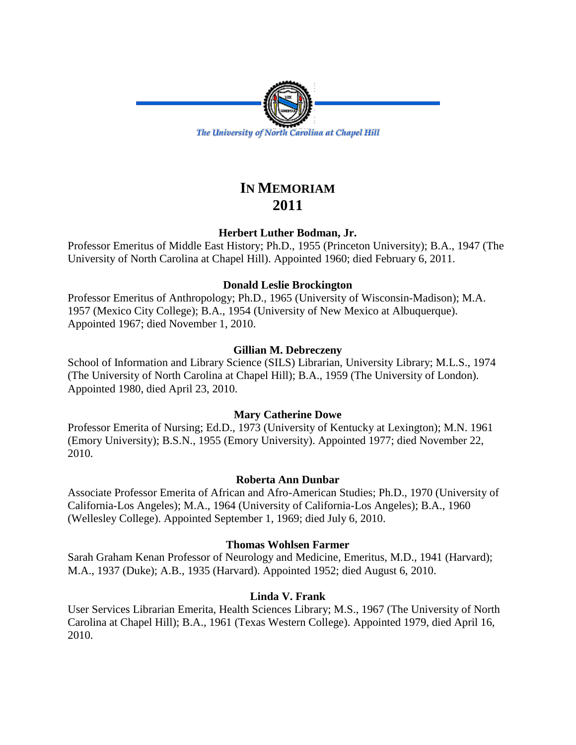

# **IN MEMORIAM 2011**

# **Herbert Luther Bodman, Jr.**

Professor Emeritus of Middle East History; Ph.D., 1955 (Princeton University); B.A., 1947 (The University of North Carolina at Chapel Hill). Appointed 1960; died February 6, 2011.

# **Donald Leslie Brockington**

Professor Emeritus of Anthropology; Ph.D., 1965 (University of Wisconsin-Madison); M.A. 1957 (Mexico City College); B.A., 1954 (University of New Mexico at Albuquerque). Appointed 1967; died November 1, 2010.

# **Gillian M. Debreczeny**

School of Information and Library Science (SILS) Librarian, University Library; M.L.S., 1974 (The University of North Carolina at Chapel Hill); B.A., 1959 (The University of London). Appointed 1980, died April 23, 2010.

# **Mary Catherine Dowe**

Professor Emerita of Nursing; Ed.D., 1973 (University of Kentucky at Lexington); M.N. 1961 (Emory University); B.S.N., 1955 (Emory University). Appointed 1977; died November 22, 2010.

# **Roberta Ann Dunbar**

Associate Professor Emerita of African and Afro-American Studies; Ph.D., 1970 (University of California-Los Angeles); M.A., 1964 (University of California-Los Angeles); B.A., 1960 (Wellesley College). Appointed September 1, 1969; died July 6, 2010.

# **Thomas Wohlsen Farmer**

Sarah Graham Kenan Professor of Neurology and Medicine, Emeritus, M.D., 1941 (Harvard); M.A., 1937 (Duke); A.B., 1935 (Harvard). Appointed 1952; died August 6, 2010.

# **Linda V. Frank**

User Services Librarian Emerita, Health Sciences Library; M.S., 1967 (The University of North Carolina at Chapel Hill); B.A., 1961 (Texas Western College). Appointed 1979, died April 16, 2010.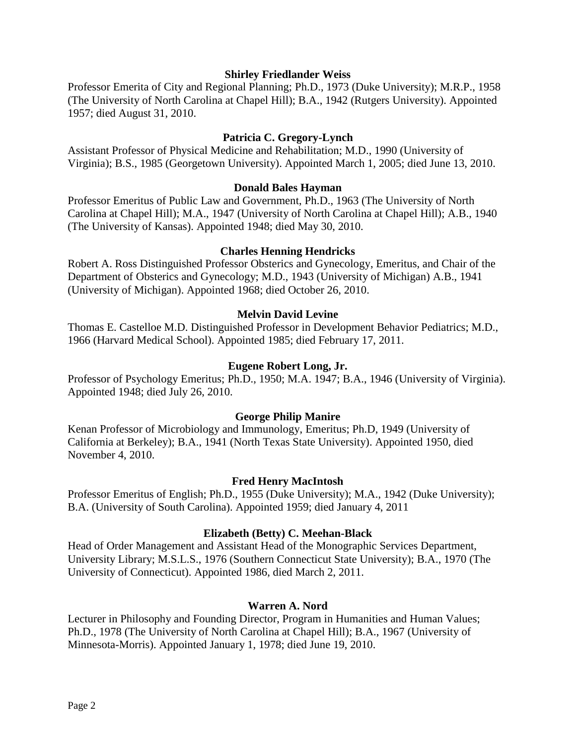## **Shirley Friedlander Weiss**

Professor Emerita of City and Regional Planning; Ph.D., 1973 (Duke University); M.R.P., 1958 (The University of North Carolina at Chapel Hill); B.A., 1942 (Rutgers University). Appointed 1957; died August 31, 2010.

# **Patricia C. Gregory-Lynch**

Assistant Professor of Physical Medicine and Rehabilitation; M.D., 1990 (University of Virginia); B.S., 1985 (Georgetown University). Appointed March 1, 2005; died June 13, 2010.

## **Donald Bales Hayman**

Professor Emeritus of Public Law and Government, Ph.D., 1963 (The University of North Carolina at Chapel Hill); M.A., 1947 (University of North Carolina at Chapel Hill); A.B., 1940 (The University of Kansas). Appointed 1948; died May 30, 2010.

#### **Charles Henning Hendricks**

Robert A. Ross Distinguished Professor Obsterics and Gynecology, Emeritus, and Chair of the Department of Obsterics and Gynecology; M.D., 1943 (University of Michigan) A.B., 1941 (University of Michigan). Appointed 1968; died October 26, 2010.

## **Melvin David Levine**

Thomas E. Castelloe M.D. Distinguished Professor in Development Behavior Pediatrics; M.D., 1966 (Harvard Medical School). Appointed 1985; died February 17, 2011.

## **Eugene Robert Long, Jr.**

Professor of Psychology Emeritus; Ph.D., 1950; M.A. 1947; B.A., 1946 (University of Virginia). Appointed 1948; died July 26, 2010.

#### **George Philip Manire**

Kenan Professor of Microbiology and Immunology, Emeritus; Ph.D, 1949 (University of California at Berkeley); B.A., 1941 (North Texas State University). Appointed 1950, died November 4, 2010.

#### **Fred Henry MacIntosh**

Professor Emeritus of English; Ph.D., 1955 (Duke University); M.A., 1942 (Duke University); B.A. (University of South Carolina). Appointed 1959; died January 4, 2011

# **Elizabeth (Betty) C. Meehan-Black**

Head of Order Management and Assistant Head of the Monographic Services Department, University Library; M.S.L.S., 1976 (Southern Connecticut State University); B.A., 1970 (The University of Connecticut). Appointed 1986, died March 2, 2011.

## **Warren A. Nord**

Lecturer in Philosophy and Founding Director, Program in Humanities and Human Values; Ph.D., 1978 (The University of North Carolina at Chapel Hill); B.A., 1967 (University of Minnesota-Morris). Appointed January 1, 1978; died June 19, 2010.